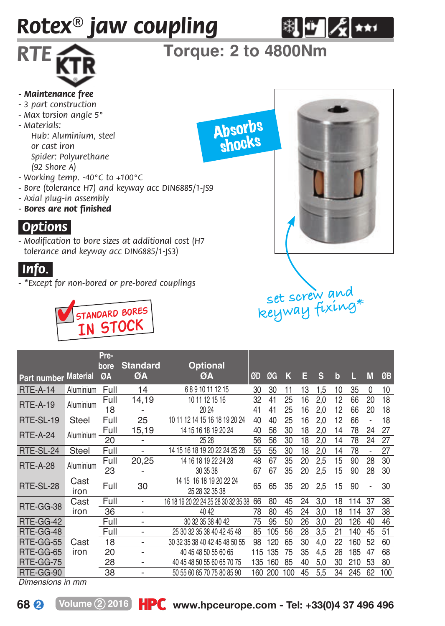# *Rotex® jaw coupling*



## *RTE* **Torque: 2 to 4800Nm**

Absorbs shocks

#### *- Maintenance free*

- *3 part construction*
- *Max torsion angle 5°*
- *Materials:*
	- *Hub: Aluminium, steel or cast iron Spider: Polyurethane (92 Shore A)*
- *Working temp. -40°C to +100°C*
- *Bore (tolerance H7) and keyway acc DIN6885/1-JS9*
- *Axial plug-in assembly*
- *Bores are not finished*

#### *.Options.*

*- Modification to bore sizes at additional cost (H7 tolerance and keyway acc DIN6885/1-JS3)*

#### *.Info..*

*- \*Except for non-bored or pre-bored couplings*





**set screw and** 

|                      |           | Pre-<br>bore | <b>Standard</b>          | <b>Optional</b>                     |     |     |     |    |     |             |     |                          |     |
|----------------------|-----------|--------------|--------------------------|-------------------------------------|-----|-----|-----|----|-----|-------------|-----|--------------------------|-----|
| Part number Material |           | ØA           | ØA                       | ØA                                  | ØD  | ØG  | к   | Е  | s   | $\mathbf b$ | Ш   | M                        | ØB  |
| <b>RTE-A-14</b>      | Aluminium | Full         | 14                       | 68910111215                         | 30  | 30  | 11  | 13 | 1.5 | 10          | 35  | 0                        | 10  |
| <b>RTE-A-19</b>      | Aluminium | Full         | 14,19                    | 10 11 12 15 16                      | 32  | 41  | 25  | 16 | 2,0 | 12          | 66  | 20                       | 18  |
|                      |           | 18           | $\overline{\phantom{0}}$ | 20 24                               | 41  | 41  | 25  | 16 | 2,0 | 12          | 66  | 20                       | 18  |
| RTE-SL-19            | Steel     | Full         | 25                       | 12 14 15 16 18 19 20 24<br>10 11    | 40  | 40  | 25  | 16 | 2.0 | 12          | 66  | $\overline{\phantom{0}}$ | 18  |
| <b>RTE-A-24</b>      | Aluminium | Full         | 15,19                    | 14 15 16 18 19 20 24                | 40  | 56  | 30  | 18 | 2,0 | 14          | 78  | 24                       | 27  |
|                      |           | 20           | -                        | 25 28                               | 56  | 56  | 30  | 18 | 2,0 | 14          | 78  | 24                       | 27  |
| RTE-SL-24            | Steel     | Full         | $\overline{\phantom{0}}$ | 14 15 16 18 19 20 22 24 25 28       | 55  | 55  | 30  | 18 | 2.0 | 14          | 78  | $\overline{a}$           | 27  |
| <b>RTE-A-28</b>      | Aluminium | Full         | 20,25                    | 14 16 18 19 22 24 28                | 48  | 67  | 35  | 20 | 2,5 | 15          | 90  | 28                       | 30  |
|                      |           | 23           | $\overline{\phantom{0}}$ | 30 35 38                            | 67  | 67  | 35  | 20 | 2,5 | 15          | 90  | 28                       | 30  |
| RTE-SL-28            | Cast      | Full         | 30                       | 14 15 16 18 19 20 22 24             | 65  | 65  | 35  | 20 | 2.5 | 15          | 90  |                          | 30  |
|                      | iron      |              |                          | 25 28 32 35 38                      |     |     |     |    |     |             |     |                          |     |
| RTE-GG-38            | Cast      | Full         | ٠                        | 16 18 19 20 22 24 25 28 30 32 35 38 | 66  | 80  | 45  | 24 | 3,0 | 18          | 114 | 37                       | 38  |
|                      | iron      | 36           | ٠                        | 40 42                               | 78  | 80  | 45  | 24 | 3.0 | 18          | 114 | 37                       | 38  |
| RTE-GG-42            |           | Full         | -                        | 30 32 35 38 40 42                   | 75  | 95  | 50  | 26 | 3.0 | 20          | 126 | 40                       | 46  |
| RTE-GG-48            |           | Full         | $\overline{a}$           | 25 30 32 35 38 40 42 45 48          | 85  | 105 | 56  | 28 | 3.5 | 21          | 140 | 45                       | 51  |
| RTE-GG-55            | Cast      | 18           | $\overline{a}$           | 30 32 35 38 40 42 45 48 50 55       | 98  | 120 | 65  | 30 | 4,0 | 22          | 160 | 52                       | 60  |
| RTE-GG-65            | iron      | 20           | $\overline{a}$           | 40 45 48 50 55 60 65                | 115 | 135 | 75  | 35 | 4.5 | 26          | 185 | 47                       | 68  |
| RTE-GG-75            |           | 28           | $\overline{a}$           | 40 45 48 50 55 60 65 70 75          | 135 | 160 | 85  | 40 | 5,0 | 30          | 210 | 53                       | 80  |
| RTE-GG-90            |           | 38           |                          | 50 55 60 65 70 75 80 85 90          | 160 | 200 | 100 | 45 | 5,5 | 34          | 245 | 62                       | 100 |

*Dimensions in mm*

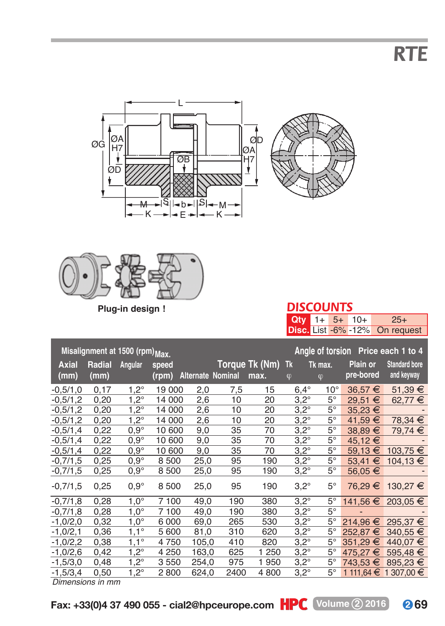*RTE*







**Plug-in design !**

| ı | ٠ |  |  |
|---|---|--|--|

|  |  | <b>Qty</b> $1+ 5+ 10+ 25+$     |
|--|--|--------------------------------|
|  |  | Disc. List -6% -12% On request |

| Misalignment at 1500 (rpm) Max. |                       |               |                |                          |      |                           |               | Angle of torsion Price each 1 to 4 |                       |                                    |  |
|---------------------------------|-----------------------|---------------|----------------|--------------------------|------|---------------------------|---------------|------------------------------------|-----------------------|------------------------------------|--|
| Axial<br>(mm)                   | <b>Radial</b><br>(mm) | Angular       | speed<br>(rpm) | <b>Alternate Nominal</b> |      | Torque Tk (Nm) Tk<br>max. | $\varphi$     | Tk max.<br>$\boldsymbol{\varphi}$  | Plain or<br>pre-bored | <b>Standard bore</b><br>and keyway |  |
| $-0,5/1,0$                      | 0,17                  | $1,2^{\circ}$ | 19 000         | 2,0                      | 7,5  | 15                        | $6,4^{\circ}$ | $10^{\circ}$                       | $36,57 \in$           | $51,39 \in$                        |  |
| $-0,5/1,2$                      | 0,20                  | $1,2^{\circ}$ | 14 000         | 2,6                      | 10   | 20                        | $3.2^\circ$   | $5^{\circ}$                        | 29,51 €               | 62,77 €                            |  |
| $-0.5/1,2$                      | 0,20                  | $1,2^{\circ}$ | 14 000         | 2,6                      | 10   | 20                        | $3.2^\circ$   | $5^{\circ}$                        | $35.23 \in$           |                                    |  |
| $-0,5/1,2$                      | 0,20                  | $1,2^\circ$   | 14 000         | 2,6                      | 10   | 20                        | $3.2^\circ$   | $5^{\circ}$                        | 41,59 €               | 78,34 €                            |  |
| $-0.5/1.4$                      | 0,22                  | $0.9^\circ$   | 10 600         | 9,0                      | 35   | 70                        | $3.2^\circ$   | $5^{\circ}$                        | $38,89 \in$           | 79,74 €                            |  |
| $-0.5/1.4$                      | 0,22                  | $0.9^\circ$   | 10 600         | 9,0                      | 35   | 70                        | $3.2^\circ$   | $5^{\circ}$                        | 45,12 €               |                                    |  |
| $-0,5/1,4$                      | 0,22                  | $0.9^\circ$   | 10 600         | 9,0                      | 35   | 70                        | $3.2^\circ$   | $5^{\circ}$                        | 59.13 $€$             | 103.75 €                           |  |
| $-0,7/1,5$                      | 0,25                  | $0.9^\circ$   | 8500           | 25,0                     | 95   | 190                       | $3.2^\circ$   | $5^{\circ}$                        | 53,41 €               | 104,13 €                           |  |
| $-0,7/1,5$                      | 0,25                  | $0.9^\circ$   | 8500           | 25,0                     | 95   | 190                       | $3,2^{\circ}$ | $5^{\circ}$                        | 56,05 €               |                                    |  |
| $-0,7/1,5$                      | 0,25                  | $0.9^\circ$   | 8500           | 25,0                     | 95   | 190                       | $3.2^\circ$   | $5^{\circ}$                        | 76,29 €               | 130,27 €                           |  |
| $-0,7/1,8$                      | 0,28                  | $1.0^\circ$   | 7 100          | 49,0                     | 190  | 380                       | $3.2^\circ$   | $5^{\circ}$                        |                       | 141.56 € 203.05 €                  |  |
| $-0,7/1,8$                      | 0,28                  | $1.0^\circ$   | 7 100          | 49,0                     | 190  | 380                       | $3.2^\circ$   | $5^{\circ}$                        |                       |                                    |  |
| $-1,0/2,0$                      | 0,32                  | $1.0^\circ$   | 6000           | 69.0                     | 265  | 530                       | $3.2^\circ$   | $5^{\circ}$                        | 214.96 €              | 295.37 €                           |  |
| $-1,0/2,1$                      | 0,36                  | $1,1^{\circ}$ | 5 600          | 81,0                     | 310  | 620                       | $3,2^{\circ}$ | $5^{\circ}$                        | 252,87 €              | 340.55 €                           |  |
| $-1,0/2,2$                      | 0,38                  | $1,1^{\circ}$ | 4750           | 105,0                    | 410  | 820                       | $3.2^\circ$   | $5^{\circ}$                        | 351.29 €              | 440.07 €                           |  |
| $-1,0/2,6$                      | 0,42                  | $1,2^{\circ}$ | 4 2 5 0        | 163,0                    | 625  | 1 250                     | $3.2^\circ$   | $5^{\circ}$                        | 475.27 €              | 595,48 $€$                         |  |
| $-1,5/3,0$                      | 0,48                  | $1.2^\circ$   | 3550           | 254.0                    | 975  | 1950                      | $3.2^\circ$   | $5^{\circ}$                        | 743.53 €              | 895,23 €                           |  |
| $-1,5/3,4$                      | 0,50                  | $1.2^\circ$   | 2800           | 624,0                    | 2400 | 4800                      | $3.2^\circ$   | $5^\circ$                          |                       | 1 111.64 € 1 307.00 €              |  |

*Dimensions in mm*